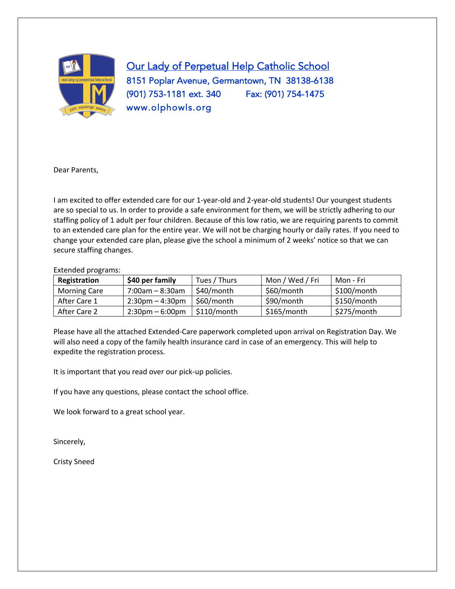

Our Lady of Perpetual Help Catholic School 8151 Poplar Avenue, Germantown, TN 38138-6138 (901) 753-1181 ext. 340 Fax: (901) 754-1475 www.olphowls.org

Dear Parents,

I am excited to offer extended care for our 1-year-old and 2-year-old students! Our youngest students are so special to us. In order to provide a safe environment for them, we will be strictly adhering to our staffing policy of 1 adult per four children. Because of this low ratio, we are requiring parents to commit to an extended care plan for the entire year. We will not be charging hourly or daily rates. If you need to change your extended care plan, please give the school a minimum of 2 weeks' notice so that we can secure staffing changes.

#### Extended programs:

| Registration        | \$40 per family                   | Tues / Thurs | Mon / Wed / Fri | Mon - Fri     |
|---------------------|-----------------------------------|--------------|-----------------|---------------|
| <b>Morning Care</b> | 7:00am – 8:30am                   | \$40/month   | \$60/month      | $$100/m$ onth |
| After Care 1        | $2:30$ pm – 4:30pm                | \$60/month   | \$90/month      | $$150/m$ onth |
| After Care 2        | $2:30 \text{pm} - 6:00 \text{pm}$ | \$110/month  | $$165/m$ onth   | \$275/month   |

Please have all the attached Extended-Care paperwork completed upon arrival on Registration Day. We will also need a copy of the family health insurance card in case of an emergency. This will help to expedite the registration process.

It is important that you read over our pick-up policies.

If you have any questions, please contact the school office.

We look forward to a great school year.

Sincerely,

Cristy Sneed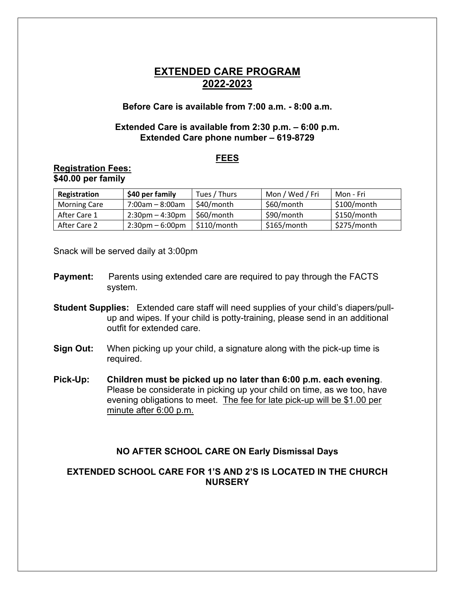# **EXTENDED CARE PROGRAM 2022-2023**

### **Before Care is available from 7:00 a.m. - 8:00 a.m.**

### **Extended Care is available from 2:30 p.m. – 6:00 p.m. Extended Care phone number – 619-8729**

#### **FEES**

#### **Registration Fees: \$40.00 per family**

| Registration        | \$40 per family                   | Tues / Thurs | Mon / Wed / Fri | Mon - Fri     |
|---------------------|-----------------------------------|--------------|-----------------|---------------|
| <b>Morning Care</b> | 7:00am - 8:00am                   | \$40/month   | \$60/month      | \$100/month   |
| After Care 1        | $2:30$ pm – 4:30pm                | \$60/month   | \$90/month      | $$150/m$ onth |
| After Care 2        | $2:30 \text{pm} - 6:00 \text{pm}$ | \$110/month  | $$165/m$ onth   | \$275/month   |

Snack will be served daily at 3:00pm

- **Payment:** Parents using extended care are required to pay through the FACTS system.
- **Student Supplies:** Extended care staff will need supplies of your child's diapers/pullup and wipes. If your child is potty-training, please send in an additional outfit for extended care.
- **Sign Out:** When picking up your child, a signature along with the pick-up time is required.
- **Pick-Up: Children must be picked up no later than 6:00 p.m. each evening**. Please be considerate in picking up your child on time, as we too, have evening obligations to meet. The fee for late pick-up will be \$1.00 per minute after 6:00 p.m.

## **NO AFTER SCHOOL CARE ON Early Dismissal Days**

## **EXTENDED SCHOOL CARE FOR 1'S AND 2'S IS LOCATED IN THE CHURCH NURSERY**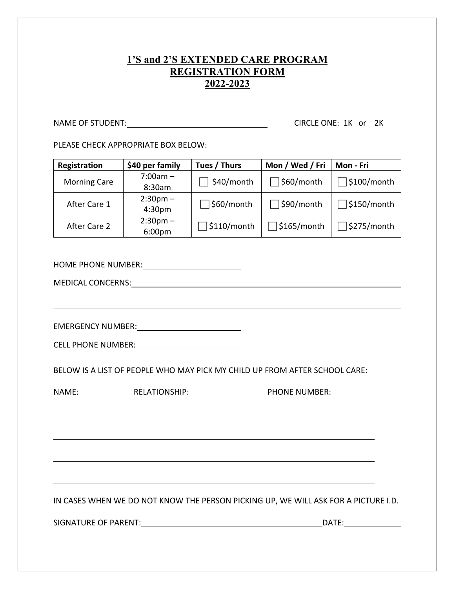# **1'S and 2'S EXTENDED CARE PROGRAM REGISTRATION FORM 2022-2023**

NAME OF STUDENT: CIRCLE ONE: 1K or 2K

PLEASE CHECK APPROPRIATE BOX BELOW:

| Registration                                                                       | \$40 per family                              | Tues / Thurs       | Mon / Wed / Fri    | Mon - Fri          |  |  |  |  |
|------------------------------------------------------------------------------------|----------------------------------------------|--------------------|--------------------|--------------------|--|--|--|--|
| <b>Morning Care</b>                                                                | $7:00am -$<br>8:30am                         | $\Box$ \$40/month  | \$60/month         | $\Box$ \$100/month |  |  |  |  |
| After Care 1                                                                       | $2:30$ pm $-$<br>4:30pm                      | \$60/month         | \$90/month         | $\Box$ \$150/month |  |  |  |  |
| After Care 2                                                                       | $2:30$ pm $-$<br>6:00pm                      | $\Box$ \$110/month | $\Box$ \$165/month | $\Box$ \$275/month |  |  |  |  |
|                                                                                    |                                              |                    |                    |                    |  |  |  |  |
|                                                                                    |                                              |                    |                    |                    |  |  |  |  |
|                                                                                    |                                              |                    |                    |                    |  |  |  |  |
|                                                                                    |                                              |                    |                    |                    |  |  |  |  |
| BELOW IS A LIST OF PEOPLE WHO MAY PICK MY CHILD UP FROM AFTER SCHOOL CARE:         |                                              |                    |                    |                    |  |  |  |  |
| NAME:                                                                              | <b>PHONE NUMBER:</b><br><b>RELATIONSHIP:</b> |                    |                    |                    |  |  |  |  |
|                                                                                    |                                              |                    |                    |                    |  |  |  |  |
|                                                                                    |                                              |                    |                    |                    |  |  |  |  |
|                                                                                    |                                              |                    |                    |                    |  |  |  |  |
| IN CASES WHEN WE DO NOT KNOW THE PERSON PICKING UP, WE WILL ASK FOR A PICTURE I.D. |                                              |                    |                    |                    |  |  |  |  |
|                                                                                    |                                              |                    |                    |                    |  |  |  |  |
|                                                                                    |                                              |                    |                    |                    |  |  |  |  |